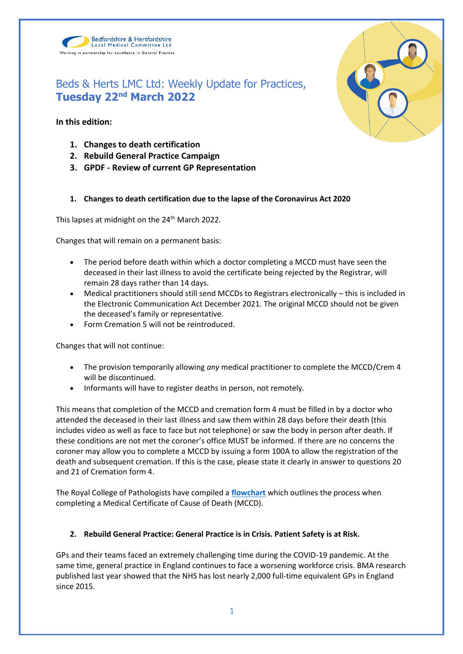

**In this edition:**

**1. Changes to death certification**

Bedfordshire & Hertfordshire Local Medical Committee Ltd

Working in partnership for excellence in General Practice

- **2. Rebuild General Practice Campaign**
- **3. GPDF - Review of current GP Representation**

## **1. Changes to death certification due to the lapse of the Coronavirus Act 2020**

This lapses at midnight on the 24<sup>th</sup> March 2022.

Changes that will remain on a permanent basis:

- The period before death within which a doctor completing a MCCD must have seen the deceased in their last illness to avoid the certificate being rejected by the Registrar, will remain 28 days rather than 14 days.
- Medical practitioners should still send MCCDs to Registrars electronically this is included in the Electronic Communication Act December 2021. The original MCCD should not be given the deceased's family or representative.
- Form Cremation 5 will not be reintroduced.

Changes that will not continue:

- The provision temporarily allowing *any* medical practitioner to complete the MCCD/Crem 4 will be discontinued.
- Informants will have to register deaths in person, not remotely.

This means that completion of the MCCD and cremation form 4 must be filled in by a doctor who attended the deceased in their last illness and saw them within 28 days before their death (this includes video as well as face to face but not telephone) or saw the body in person after death. If these conditions are not met the coroner's office MUST be informed. If there are no concerns the coroner may allow you to complete a MCCD by issuing a form 100A to allow the registration of the death and subsequent cremation. If this is the case, please state it clearly in answer to questions 20 and 21 of Cremation form 4.

The Royal College of Pathologists have compiled a **[flowchart](https://www.bedshertslmcs.org.uk/wp-content/uploads/2022/03/Royal-College-of-Pathologists-MCCD-Flowchart-25-March-2022.pdf)** which outlines the process when completing a Medical Certificate of Cause of Death (MCCD).

## **2. Rebuild General Practice: General Practice is in Crisis. Patient Safety is at Risk.**

GPs and their teams faced an extremely challenging time during the COVID-19 pandemic. At the same time, general practice in England continues to face a worsening workforce crisis. BMA research published last year showed that the NHS has lost nearly 2,000 full-time equivalent GPs in England since 2015.

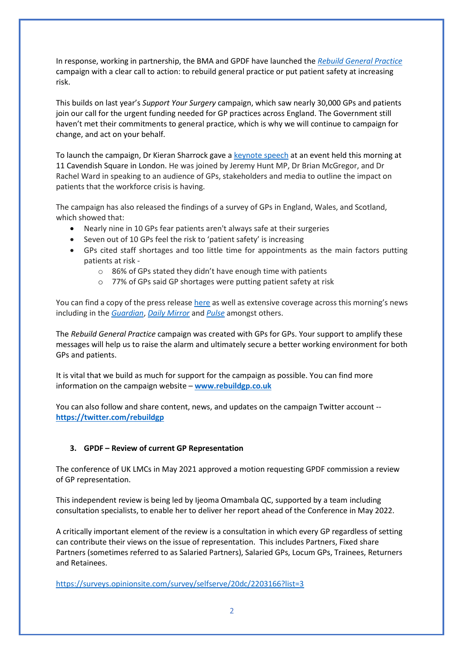In response, working in partnership, the BMA and GPDF have launched the *[Rebuild General Practice](https://rebuildgp.co.uk/)* campaign with a clear call to action: to rebuild general practice or put patient safety at increasing risk.

This builds on last year's *Support Your Surgery* campaign, which saw nearly 30,000 GPs and patients join our call for the urgent funding needed for GP practices across England. The Government still haven't met their commitments to general practice, which is why we will continue to campaign for change, and act on your behalf.

To launch the campaign, Dr Kieran Sharrock gave a [keynote speech](https://rebuildgp.co.uk/campaign-assets/why-we-need-a-bigger-gp-workforce) at an event held this morning at 11 Cavendish Square in London. He was joined by Jeremy Hunt MP, Dr Brian McGregor, and Dr Rachel Ward in speaking to an audience of GPs, stakeholders and media to outline the impact on patients that the workforce crisis is having.

The campaign has also released the findings of a survey of GPs in England, Wales, and Scotland, which showed that:

- Nearly nine in 10 GPs fear patients aren't always safe at their surgeries
- Seven out of 10 GPs feel the risk to 'patient safety' is increasing
- GPs cited staff shortages and too little time for appointments as the main factors putting patients at risk
	- o 86% of GPs stated they didn't have enough time with patients
	- o 77% of GPs said GP shortages were putting patient safety at risk

You can find a copy of the press releas[e here](https://rebuildgp.co.uk/news) as well as extensive coverage across this morning's news including in the *[Guardian](https://www.theguardian.com/society/2022/mar/21/80-per-cent-gps-patients-at-risk-surgery-survey)*, *[Daily Mirror](https://www.mirror.co.uk/news/uk-news/ex-health-secretary-teams-up-26515130.amp)* and *[Pulse](https://www.pulsetoday.co.uk/news/workforce/bma-and-jeremy-hunt-join-forces-for-campaign-to-rebuild-general-practice/)* amongst others.

The *Rebuild General Practice* campaign was created with GPs for GPs. Your support to amplify these messages will help us to raise the alarm and ultimately secure a better working environment for both GPs and patients.

It is vital that we build as much for support for the campaign as possible. You can find more information on the campaign website – **[www.rebuildgp.co.uk](http://www.rebuildgp.co.uk/)**

You can also follow and share content, news, and updates on the campaign Twitter account - **<https://twitter.com/rebuildgp>**

## **3. GPDF – Review of current GP Representation**

The conference of UK LMCs in May 2021 approved a motion requesting GPDF commission a review of GP representation.

This independent review is being led by Ijeoma Omambala QC, supported by a team including consultation specialists, to enable her to deliver her report ahead of the Conference in May 2022.

A critically important element of the review is a consultation in which every GP regardless of setting can contribute their views on the issue of representation. This includes Partners, Fixed share Partners (sometimes referred to as Salaried Partners), Salaried GPs, Locum GPs, Trainees, Returners and Retainees.

<https://surveys.opinionsite.com/survey/selfserve/20dc/2203166?list=3>